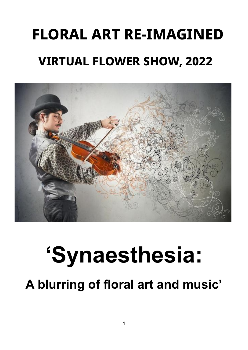## **FLORAL ART RE-IMAGINED VIRTUAL FLOWER SHOW, 2022**



# **'Synaesthesia:**

## **A blurring of floral art and music'**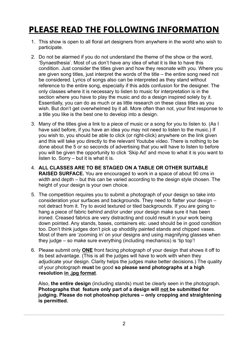## **PLEASE READ THE FOLLOWING INFORMATION**

- 1. This show is open to all floral art designers from anywhere in the world who wish to participate.
- 2. Do not be alarmed if you do not understand the theme of the show or the word, 'Synaesthesia'. Most of us don't have any idea of what it is like to have this condition. Just consider the titles given and how they resonate with you. Where you are given song titles, just interpret the words of the title – the entire song need not be considered. Lyrics of songs also can be interpreted as they stand without reference to the entire song, especially if this adds confusion for the designer. The only classes where it is necessary to listen to music for interpretation is in the section where you have to play the music and do a design inspired solely by it. Essentially, you can do as much or as little research on these class titles as you wish. But don't get overwhelmed by it all. More often than not, your first response to a title you like is the best one to develop into a design.
- 3. Many of the titles give a link to a piece of music or a song for you to listen to. (As I have said before, if you have an idea you may not need to listen to the music.) If you wish to, you should be able to click (or right-click) anywhere on the link given and this will take you directly to the relevant Youtube video. There is nothing to be done about the 5 or so seconds of advertising that you will have to listen to before you will be given the opportunity to click 'Skip Ad' and move to what it is you want to listen to. Sorry – but it is what it is.
- 4. **ALL CLASSES ARE TO BE STAGED ON A TABLE OR OTHER SUITABLE RAISED SURFACE.** You are encouraged to work in a space of about 90 cms in width and depth – but this can be varied according to the design style chosen. The height of your design is your own choice.
- 5. The competition requires you to submit a photograph of your design so take into consideration your surfaces and backgrounds. They need to flatter your design – not detract from it. Try to avoid textured or tiled backgrounds. If you are going to hang a piece of fabric behind and/or under your design make sure it has been ironed. Creased fabrics are very distracting and could result in your work being down pointed. Any stands, bases, containers etc. used should be in good condition too. Don't think judges don't pick up shoddily painted stands and chipped vases. Most of them are 'zooming in' on your designs and using magnifying glasses when they judge – so make sure everything (including mechanics) is 'tip top'!
- 6. Please submit only **ONE** front facing photograph of your design that shows it off to its best advantage. (This is all the judges will have to work with when they adjudicate your design. Clarity helps the judges make better decisions.) The quality of your photograph **must** be good **so please send photographs at a high resolution in .jpg format**.

Also, **the entire design** (including stands) must be clearly seen in the photograph. **Photographs that feature only part of a design will not be submitted for judging. Please do not photoshop pictures – only cropping and straightening is permitted.**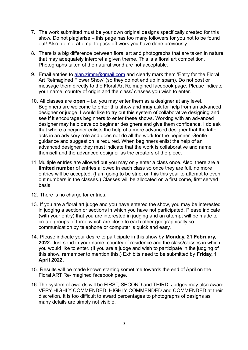- 7. The work submitted must be your own original designs specifically created for this show. Do not plagiarise – this page has too many followers for you not to be found out! Also, do not attempt to pass off work you have done previously.
- 8. There is a big difference between floral art and photographs that are taken in nature that may adequately interpret a given theme. This is a floral art competition. Photographs taken of the natural world are not acceptable.
- 9. Email entries to [alan.zimm@gmail.com](mailto:alan.zimm@gmail.com) and clearly mark them 'Entry for the Floral Art Reimagined Flower Show' (so they do not end up in spam). Do not post or message them directly to the Floral Art Reimagined facebook page. Please indicate your name, country of origin and the class/ classes you wish to enter.
- 10. All classes are **open** i.e. you may enter them as a designer at any level. Beginners are welcome to enter this show and **may** ask for help from an advanced designer or judge. I would like to try out this system of collaborative designing and see if it encourages beginners to enter these shows. Working with an advanced designer may help develop beginner designers and give them confidence. I do ask that where a beginner enlists the help of a more advanced designer that the latter acts in an advisory role and does not do all the work for the beginner. Gentle guidance and suggestion is required. When beginners enlist the help of an advanced designer, they must indicate that the work is collaborative and name themself and the advanced designer as the creators of the piece.
- 11. Multiple entries are allowed but you may only enter a class once. Also, there are a **limited number** of entries allowed in each class so once they are full, no more entries will be accepted. (I am going to be strict on this this year to attempt to even out numbers in the classes.) Classes will be allocated on a first come, first served basis.
- 12. There is no charge for entries.
- 13. If you are a floral art judge and you have entered the show, you may be interested in judging a section or sections in which you have not participated. Please indicate (with your entry) that you are interested in judging and an attempt will be made to create groups of three which are close to each other geographically so communication by telephone or computer is quick and easy.
- 14. Please indicate your desire to participate in this show by **Monday, 21 February, 2022.** Just send in your name, country of residence and the class/classes in which you would like to enter. (If you are a judge and wish to participate in the judging of this show, remember to mention this.) Exhibits need to be submitted by **Friday, 1 April 2022.**
- 15. Results will be made known starting sometime towards the end of April on the Floral ART Re-imagined facebook page.
- 16.The system of awards will be FIRST, SECOND and THIRD. Judges may also award VERY HIGHLY COMMENDED, HIGHLY COMMENDED and COMMENDED at their discretion. It is too difficult to award percentages to photographs of designs as many details are simply not visible.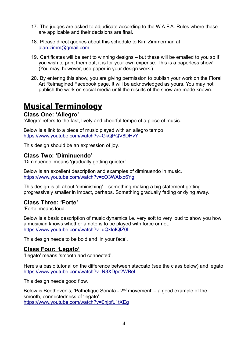- 17. The judges are asked to adjudicate according to the W.A.F.A. Rules where these are applicable and their decisions are final.
- 18. Please direct queries about this schedule to Kim Zimmerman at alan.zimm@gmail.com
- 19. Certificates will be sent to winning designs but these will be emailed to you so if you wish to print them out, it is for your own expense. This is a paperless show! (You may, however, use paper in your design work.)
- 20. By entering this show, you are giving permission to publish your work on the Floral Art Reimagined Facebook page. It will be acknowledged as yours. You may not publish the work on social media until the results of the show are made known.

## **M usical Terminology**

## **Class One: 'Allegro'**

'Allegro' refers to the fast, lively and cheerful tempo of a piece of music.

Below is a link to a piece of music played with an allegro tempo <https://www.youtube.com/watch?v=GkQPQV8DHvY>

This design should be an expression of joy.

### **Class Two: 'Diminuendo'**

'Diminuendo' means 'gradually getting quieter'.

Below is an excellent description and examples of diminuendo in music. <https://www.youtube.com/watch?v=cO3WAfxo6Yg>

This design is all about 'diminishing' – something making a big statement getting progressively smaller in impact, perhaps. Something gradually fading or dying away.

## **Class Three: 'Forte'**

'Forte' means loud.

Below is a basic description of music dynamics i.e. very soft to very loud to show you how a musician knows whether a note is to be played with force or not. <https://www.youtube.com/watch?v=uQkloIQlZ0I>

This design needs to be bold and 'in your face'.

### **Class Four: 'Legato'**

'Legato' means 'smooth and connected'.

Here's a basic tutorial on the difference between staccato (see the class below) and legato <https://www.youtube.com/watch?v=N3XDpc2WBeI>

This design needs good flow.

Below is Beethoven's, 'Pathetique Sonata -  $2^{nd}$  movement' – a good example of the smooth, connectedness of 'legato'. <https://www.youtube.com/watch?v=0njpfL1tXEg>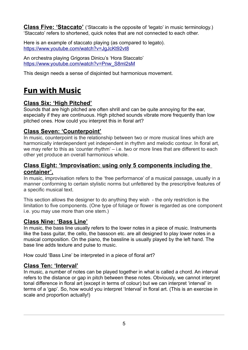**Class Five: 'Staccato'** ('Staccato is the opposite of 'legato' in music terminology.) 'Staccato' refers to shortened, quick notes that are not connected to each other.

Here is an example of staccato playing (as compared to legato). <https://www.youtube.com/watch?v=JgJcKt92vt8>

An orchestra playing Grigoras Dinicu's 'Hora Staccato' [https://www.youtube.com/watch?v=Pnw\\_S8ml2sM](https://www.youtube.com/watch?v=Pnw_S8ml2sM)

This design needs a sense of disjointed but harmonious movement.

## **Fun with Music**

## **Class Six: 'High Pitched'**

Sounds that are high pitched are often shrill and can be quite annoying for the ear, especially if they are continuous. High pitched sounds vibrate more frequently than low pitched ones. How could you interpret this in floral art?

## **Class Seven: 'Counterpoint'**

In music, counterpoint is the relationship between two or more musical lines which are harmonically interdependent yet independent in rhythm and melodic contour. In floral art, we may refer to this as 'counter rhythm' – i.e. two or more lines that are different to each other yet produce an overall harmonious whole.

## **Class Eight: 'Improvisation: using only 5 components including the container'.**

In music, improvisation refers to the 'free performance' of a musical passage, usually in a manner conforming to certain stylistic norms but unfettered by the prescriptive features of a specific musical text.

This section allows the designer to do anything they wish - the only restriction is the limitation to five components. (One type of foliage or flower is regarded as one component i.e. you may use more than one stem.)

### **Class Nine: 'Bass Line'**

In music, the bass line usually refers to the lower notes in a piece of music. Instruments like the bass guitar, the cello, the bassoon etc. are all designed to play lower notes in a musical composition. On the piano, the bassline is usually played by the left hand. The base line adds texture and pulse to music.

How could 'Bass Line' be interpreted in a piece of floral art?

## **Class Ten: 'Interval'**

In music, a number of notes can be played together in what is called a chord. An interval refers to the distance or gap in pitch between these notes. Obviously, we cannot interpret tonal difference in floral art (except in terms of colour) but we can interpret 'interval' in terms of a 'gap'. So, how would you interpret 'Interval' in floral art. (This is an exercise in scale and proportion actually!)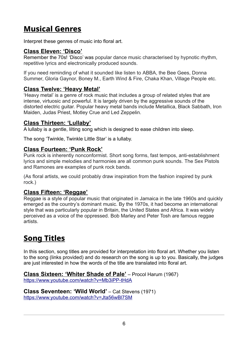## **Musical Genres**

Interpret these genres of music into floral art.

#### **Class Eleven: 'Disco'**

Remember the 70s! 'Disco' was popular dance music characterised by hypnotic rhythm, repetitive lyrics and electronically produced sounds.

If you need reminding of what it sounded like listen to ABBA, the Bee Gees, Donna Summer, Gloria Gaynor, Boney M., Earth Wind & Fire, Chaka Khan, Village People etc.

### **Class Twelve: 'Heavy Metal'**

'Heavy metal' is a genre of rock music that includes a group of related styles that are intense, virtuosic and powerful. It is largely driven by the aggressive sounds of the distorted electric guitar. Popular heavy metal bands include Metallica, Black Sabbath, Iron Maiden, Judas Priest, Motley Crue and Led Zeppelin.

#### **Class Thirteen: 'Lullaby'**

A lullaby is a gentle, lilting song which is designed to ease children into sleep.

The song 'Twinkle, Twinkle Little Star' is a lullaby.

### **Class Fourteen: 'Punk Rock'**

Punk rock is inherently nonconformist. Short song forms, fast tempos, anti-establishment lyrics and simple melodies and harmonies are all common punk sounds. The Sex Pistols and Ramones are examples of punk rock bands.

(As floral artists, we could probably draw inspiration from the fashion inspired by punk rock.)

### **Class Fifteen: 'Reggae'**

Reggae is a style of popular music that originated in Jamaica in the late 1960s and quickly emerged as the country's dominant music. By the 1970s, it had become an international style that was particularly popular in Britain, the United States and Africa. It was widely perceived as a voice of the oppressed. Bob Marley and Peter Tosh are famous reggae artists.

## **Song Titles**

In this section, song titles are provided for interpretation into floral art. Whether you listen to the song (links provided) and do research on the song is up to you. Basically, the judges are just interested in how the words of the title are translated into floral art.

 **Class Sixteen: ' Whiter Shade of Pale'** – Procol Harum (1967) <https://www.youtube.com/watch?v=Mb3iPP-tHdA>

**Class Seventeen: 'Wild World'** – Cat Stevens (1971) <https://www.youtube.com/watch?v=Jta56wBl7SM>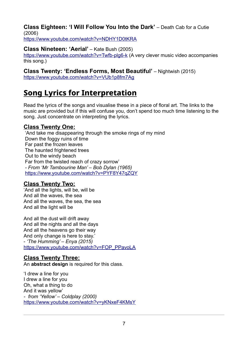**Class Eighteen: 'I Will Follow You Into the Dark'** – Death Cab for a Cutie (2006)

<https://www.youtube.com/watch?v=NDHY1D0tKRA>

## **Class Nineteen: 'Aerial'** – Kate Bush (2005)

<https://www.youtube.com/watch?v=Twfb-plg6-k>(A very clever music video accompanies this song.)

## **Class Twenty: 'Endless Forms, Most Beautiful'** – Nightwish (2015)

<https://www.youtube.com/watch?v=VUb1p8fm7Ag>

## **Song Lyrics for Interpretation**

Read the lyrics of the songs and visualise these in a piece of floral art. The links to the music are provided but if this will confuse you, don't spend too much time listening to the song. Just concentrate on interpreting the lyrics.

## **Class Twenty One:**

 'And take me disappearing through the smoke rings of my mind Down the foggy ruins of time Far past the frozen leaves The haunted frightened trees Out to the windy beach Far from the twisted reach of crazy sorrow'  *- From 'Mr Tambourine Man' – Bob Dylan (1965)* <https://www.youtube.com/watch?v=PYF8Y47qZQY>

## **Class Twenty Two:**

'And all the lights, will be, will be And all the waves, the sea And all the waves, the sea, the sea And all the light will be

And all the dust will drift away And all the nights and all the days And all the heavens go their way And only change is here to stay.' - *'The Humming' – Enya (2015)*  [https://www.youtube.com/watch?v=FOP\\_PPavoLA](https://www.youtube.com/watch?v=FOP_PPavoLA)

## **Class Twenty Three:**

An **abstract design** is required for this class.

'I drew a line for you I drew a line for you Oh, what a thing to do And it was yellow' *- from 'Yellow' – Coldplay (2000)*  <https://www.youtube.com/watch?v=yKNxeF4KMsY>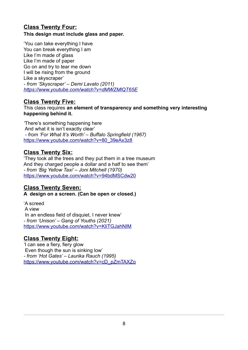## **Class Twenty Four:**

#### **This design must include glass and paper.**

'You can take everything I have You can break everything I am Like I'm made of glass Like I'm made of paper Go on and try to tear me down I will be rising from the ground Like a skyscraper' *- from 'Skyscraper' – Demi Lavato (2011) <https://www.youtube.com/watch?v=dMWZMlQT65E>*

## **Class Twenty Five:**

This class requires **an element of transparency and something very interesting happening behind it.**

*'*There's something happening here And what it is isn't exactly clear'  *- from 'For What It's Worth' – Buffalo Springfield (1967)* [https://www.youtube.com/watch?v=80\\_39eAx3z8](https://www.youtube.com/watch?v=80_39eAx3z8)

## **Class Twenty Six:**

'They took all the trees and they put them in a tree museum And they charged people a dollar and a half to see them' *- from 'Big Yellow Taxi' – Joni Mitchell (1970)* <https://www.youtube.com/watch?v=94bdMSCdw20>

## **Class Twenty Seven:**

**A design on a screen. (Can be open or closed.)**

'A screed A view In an endless field of disquiet, I never knew' *- from 'Unison' – Gang of Youths (2021)* <https://www.youtube.com/watch?v=KliTGJahNIM>

## **Class Twenty Eight:**

*'*I can see a fiery, fiery glow Even though the sun is sinking low' *- from 'Hot Gates' – Laurika Rauch (1995)*  [https://www.youtube.com/watch?v=cD\\_pZmTAXZo](https://www.youtube.com/watch?v=cD_pZmTAXZo)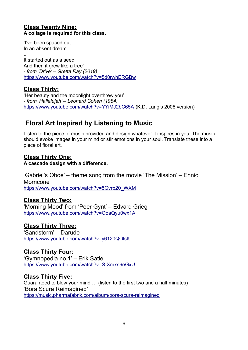## **Class Twenty Nine: A collage is required for this class.**

'I've been spaced out In an absent dream

... It started out as a seed And then it grew like a tree' *- from 'Drive' – Gretta Ray (2019)* <https://www.youtube.com/watch?v=5d0rwhERGBw>

## **Class Thirty:**

'Her beauty and the moonlight overthrew you' *- from 'Hallelujah' – Leonard Cohen (1984)* <https://www.youtube.com/watch?v=YYiMJ2bC65A> (K.D. Lang's 2006 version)

## **Floral Art Inspired by Listening to Music**

Listen to the piece of music provided and design whatever it inspires in you. The music should evoke images in your mind or stir emotions in your soul. Translate these into a piece of floral art.

## **Class Thirty One:**

**A cascade design with a difference.**

'Gabriel's Oboe' – theme song from the movie 'The Mission' – Ennio Morricone [https://www.youtube.com/watch?v=5Gvrp20\\_WXM](https://www.youtube.com/watch?v=5Gvrp20_WXM)

## **Class Thirty Two:**

'Morning Mood' from 'Peer Gynt' – Edvard Grieg <https://www.youtube.com/watch?v=OoaQyu0wx1A>

## **Class Thirty Three:**

'Sandstorm' – Darude <https://www.youtube.com/watch?v=y6120QOlsfU>

## **Class Thirty Four:**

'Gymnopedia no.1' – Erik Satie <https://www.youtube.com/watch?v=S-Xm7s9eGxU>

## **Class Thirty Five:**

Guaranteed to blow your mind … (listen to the first two and a half minutes) 'Bora Scura Reimagined' <https://music.pharmafabrik.com/album/bora-scura-reimagined>